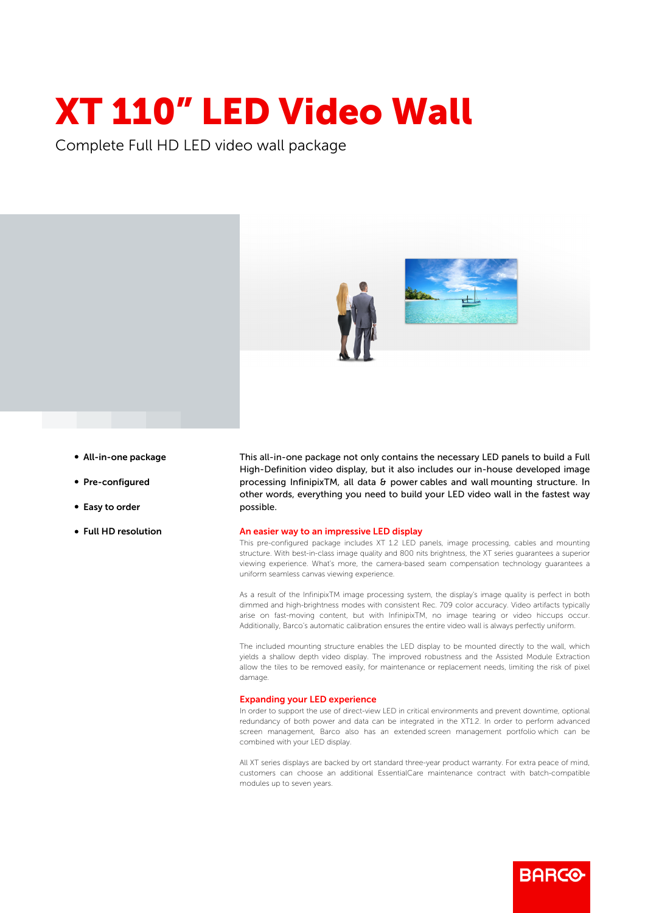## XT 110" LED Video Wall

Complete Full HD LED video wall package





- All-in-one package
- Pre-configured
- Easy to order
- Full HD resolution

This all-in-one package not only contains the necessary LED panels to build a Full High-Definition video display, but it also includes our in-house developed image processing InfinipixTM, all data & power cables and wall mounting structure. In other words, everything you need to build your LED video wall in the fastest way possible.

## An easier way to an impressive LED display

This pre-configured package includes XT 1.2 LED panels, image processing, cables and mounting structure. With best-in-class image quality and 800 nits brightness, the XT series guarantees a superior viewing experience. What's more, the camera-based seam compensation technology guarantees a uniform seamless canvas viewing experience.

As a result of the InfinipixTM image processing system, the display's image quality is perfect in both dimmed and high-brightness modes with consistent Rec. 709 color accuracy. Video artifacts typically arise on fast-moving content, but with InfinipixTM, no image tearing or video hiccups occur. Additionally, Barco's automatic calibration ensures the entire video wall is always perfectly uniform.

The included mounting structure enables the LED display to be mounted directly to the wall, which yields a shallow depth video display. The improved robustness and the Assisted Module Extraction allow the tiles to be removed easily, for maintenance or replacement needs, limiting the risk of pixel damage.

## Expanding your LED experience

In order to support the use of direct-view LED in critical environments and prevent downtime, optional redundancy of both power and data can be integrated in the XT1.2. In order to perform advanced screen management, Barco also has an extended screen management portfolio which can be combined with your LED display.

All XT series displays are backed by ort standard three-year product warranty. For extra peace of mind, customers can choose an additional EssentialCare maintenance contract with batch-compatible modules up to seven years.

**BARGO**